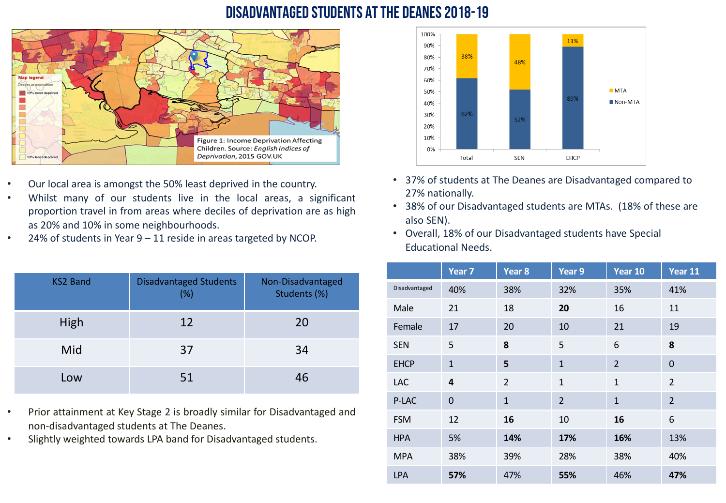#### Disadvantaged students at The Deanes 2018-19



- Our local area is amongst the 50% least deprived in the country.
- Whilst many of our students live in the local areas, a significant proportion travel in from areas where deciles of deprivation are as high as 20% and 10% in some neighbourhoods.
- 24% of students in Year 9 11 reside in areas targeted by NCOP.

| <b>KS2 Band</b> | <b>Disadvantaged Students</b><br>(%) | Non-Disadvantaged<br>Students (%) |
|-----------------|--------------------------------------|-----------------------------------|
| High            | 12                                   | 20                                |
| Mid             | 37                                   | 34                                |
| Low             | 51                                   | 46                                |

- Prior attainment at Key Stage 2 is broadly similar for Disadvantaged and non-disadvantaged students at The Deanes.
- Slightly weighted towards LPA band for Disadvantaged students.



- 37% of students at The Deanes are Disadvantaged compared to 27% nationally.
- 38% of our Disadvantaged students are MTAs. (18% of these are also SEN).
- Overall, 18% of our Disadvantaged students have Special Educational Needs.

|               | Year <sub>7</sub> | Year <sub>8</sub> | Year 9         | Year 10        | Year 11                 |
|---------------|-------------------|-------------------|----------------|----------------|-------------------------|
| Disadvantaged | 40%               | 38%               | 32%            | 35%            | 41%                     |
| Male          | 21                | 18                | 20             | 16             | 11                      |
| Female        | 17                | 20                | 10             | 21             | 19                      |
| <b>SEN</b>    | 5                 | 8                 | 5              | 6              | 8                       |
| <b>EHCP</b>   | $\mathbf{1}$      | 5                 | $\mathbf{1}$   | $\overline{2}$ | $\Omega$                |
| <b>LAC</b>    | 4                 | $\overline{2}$    | $\mathbf{1}$   | $\mathbf{1}$   | $\overline{\mathbf{c}}$ |
| P-LAC         | $\overline{0}$    | $\mathbf{1}$      | $\overline{2}$ | $\mathbf{1}$   | $\overline{2}$          |
| <b>FSM</b>    | 12                | 16                | 10             | 16             | 6                       |
| <b>HPA</b>    | 5%                | 14%               | 17%            | 16%            | 13%                     |
| <b>MPA</b>    | 38%               | 39%               | 28%            | 38%            | 40%                     |
| <b>LPA</b>    | 57%               | 47%               | 55%            | 46%            | 47%                     |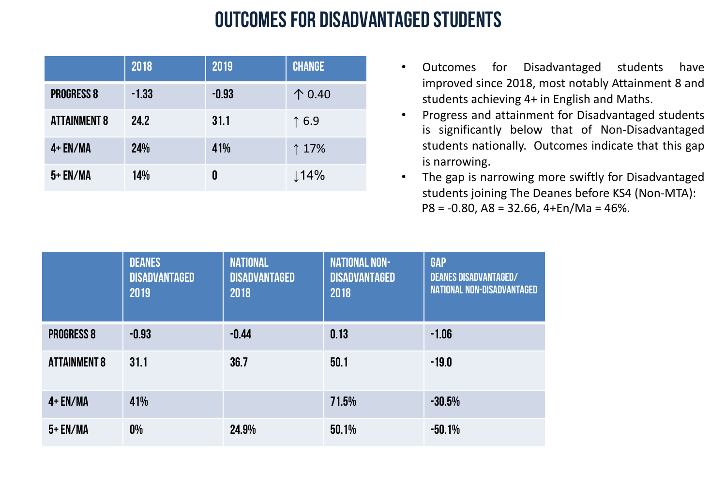### outcomes for disadvantaged students

|                     | 2018    | 2019    | <b>CHANGE</b>    |
|---------------------|---------|---------|------------------|
| <b>PROGRESS 8</b>   | $-1.33$ | $-0.93$ | $\uparrow$ 0.40  |
| <b>ATTAINMENT 8</b> | 24.2    | 31.1    | $\uparrow$ 6.9   |
| $4+EN/MA$           | 24%     | 41%     | ↑ 17%            |
| 5+ EN/MA            | 14%     | 0       | $\downarrow$ 14% |

- Outcomes for Disadvantaged students have improved since 2018, most notably Attainment 8 and students achieving 4+ in English and Maths.
- Progress and attainment for Disadvantaged students is significantly below that of Non-Disadvantaged students nationally. Outcomes indicate that this gap is narrowing.
- The gap is narrowing more swiftly for Disadvantaged students joining The Deanes before KS4 (Non-MTA): P8 = -0.80, A8 = 32.66, 4+En/Ma = 46%.

|                     | <b>DEANES</b><br><b>DISADVANTAGED</b><br>2019 | <b>NATIONAL</b><br><b>DISADVANTAGED</b><br>2018 | <b>NATIONAL NON-</b><br><b>DISADVANTAGED</b><br>2018 | <b>GAP</b><br><b>DEANES DISADVANTAGED/</b><br><b>NATIONAL NON-DISADVANTAGED</b> |
|---------------------|-----------------------------------------------|-------------------------------------------------|------------------------------------------------------|---------------------------------------------------------------------------------|
| <b>PROGRESS 8</b>   | $-0.93$                                       | $-0.44$                                         | 0.13                                                 | $-1.06$                                                                         |
| <b>ATTAINMENT 8</b> | 31.1                                          | 36.7                                            | 50.1                                                 | $-19.0$                                                                         |
| $4+EN/MA$           | 41%                                           |                                                 | 71.5%                                                | $-30.5%$                                                                        |
| $5+EN/MA$           | 0%                                            | 24.9%                                           | 50.1%                                                | $-50.1%$                                                                        |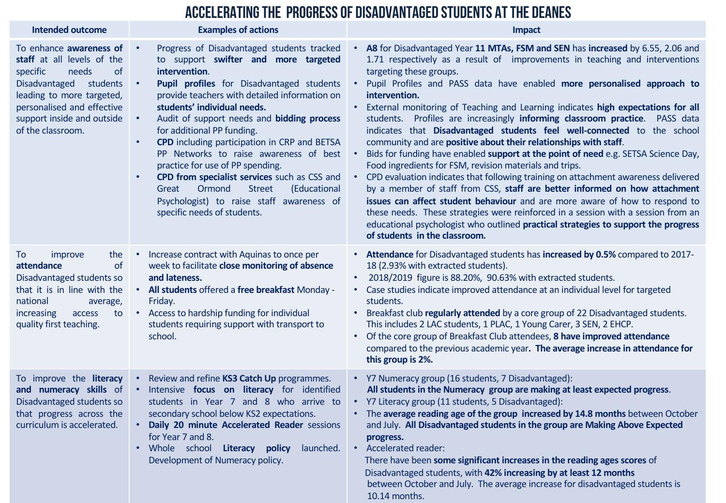|                                                                                                                                                                                                                                           | ACCELERATING THE PROGRESS OF DISADVANTAGED STUDENTS AT THE DEANES                                                                                                                                                                                                                                                                                                                                                                                                                                                                                                                                                                                                 |                                                                                                                                                                                                                                                                                                                                                                                                                                                                                                                                                                                                                                                                                                                                                                                                                                                                                                                                                                                                                                                                                                                                                                                                                          |  |  |  |
|-------------------------------------------------------------------------------------------------------------------------------------------------------------------------------------------------------------------------------------------|-------------------------------------------------------------------------------------------------------------------------------------------------------------------------------------------------------------------------------------------------------------------------------------------------------------------------------------------------------------------------------------------------------------------------------------------------------------------------------------------------------------------------------------------------------------------------------------------------------------------------------------------------------------------|--------------------------------------------------------------------------------------------------------------------------------------------------------------------------------------------------------------------------------------------------------------------------------------------------------------------------------------------------------------------------------------------------------------------------------------------------------------------------------------------------------------------------------------------------------------------------------------------------------------------------------------------------------------------------------------------------------------------------------------------------------------------------------------------------------------------------------------------------------------------------------------------------------------------------------------------------------------------------------------------------------------------------------------------------------------------------------------------------------------------------------------------------------------------------------------------------------------------------|--|--|--|
| <b>Intended outcome</b>                                                                                                                                                                                                                   | <b>Examples of actions</b>                                                                                                                                                                                                                                                                                                                                                                                                                                                                                                                                                                                                                                        | <b>Impact</b>                                                                                                                                                                                                                                                                                                                                                                                                                                                                                                                                                                                                                                                                                                                                                                                                                                                                                                                                                                                                                                                                                                                                                                                                            |  |  |  |
| To enhance awareness of<br>staff at all levels of the<br>specific<br>needs<br><b>of</b><br><b>Disadvantaged</b><br>students<br>leading to more targeted,<br>personalised and effective<br>support inside and outside<br>of the classroom. | Progress of Disadvantaged students tracked<br>$\bullet$<br>to support swifter and more targeted<br>intervention.<br>Pupil profiles for Disadvantaged students<br>$\bullet$<br>provide teachers with detailed information on<br>students' individual needs.<br>Audit of support needs and bidding process<br>$\bullet$<br>for additional PP funding.<br>CPD including participation in CRP and BETSA<br>PP Networks to raise awareness of best<br>practice for use of PP spending.<br>CPD from specialist services such as CSS and<br>Ormond<br><b>Street</b><br>Great<br>(Educational<br>Psychologist) to raise staff awareness of<br>specific needs of students. | • A8 for Disadvantaged Year 11 MTAs, FSM and SEN has increased by 6.55, 2.06 and<br>1.71 respectively as a result of improvements in teaching and interventions<br>targeting these groups.<br>Pupil Profiles and PASS data have enabled more personalised approach to<br>intervention.<br>External monitoring of Teaching and Learning indicates high expectations for all<br>students. Profiles are increasingly informing classroom practice. PASS data<br>indicates that Disadvantaged students feel well-connected to the school<br>community and are positive about their relationships with staff.<br>Bids for funding have enabled support at the point of need e.g. SETSA Science Day,<br>Food ingredients for FSM, revision materials and trips.<br>CPD evaluation indicates that following training on attachment awareness delivered<br>by a member of staff from CSS, staff are better informed on how attachment<br>issues can affect student behaviour and are more aware of how to respond to<br>these needs. These strategies were reinforced in a session with a session from an<br>educational psychologist who outlined practical strategies to support the progress<br>of students in the classroom. |  |  |  |
| the<br>To<br>improve<br>attendance<br><b>of</b><br>Disadvantaged students so<br>that it is in line with the<br>national<br>average,<br>increasing<br>access<br>to<br>quality first teaching.                                              | Increase contract with Aquinas to once per<br>week to facilitate close monitoring of absence<br>and lateness.<br>• All students offered a free breakfast Monday -<br>Friday.<br>• Access to hardship funding for individual<br>students requiring support with transport to<br>school.                                                                                                                                                                                                                                                                                                                                                                            | • Attendance for Disadvantaged students has increased by 0.5% compared to 2017-<br>18 (2.93% with extracted students).<br>2018/2019 figure is 88.20%, 90.63% with extracted students.<br>Case studies indicate improved attendance at an individual level for targeted<br>students.<br>Breakfast club regularly attended by a core group of 22 Disadvantaged students.<br>$\bullet$<br>This includes 2 LAC students, 1 PLAC, 1 Young Carer, 3 SEN, 2 EHCP.<br>Of the core group of Breakfast Club attendees, 8 have improved attendance<br>compared to the previous academic year. The average increase in attendance for<br>this group is 2%.                                                                                                                                                                                                                                                                                                                                                                                                                                                                                                                                                                           |  |  |  |
| To improve the literacy<br>and numeracy skills of<br>Disadvantaged students so<br>that progress across the<br>curriculum is accelerated.                                                                                                  | Review and refine KS3 Catch Up programmes.<br>$\bullet$ .<br>. Intensive focus on literacy for identified<br>students in Year 7 and 8 who arrive to<br>secondary school below KS2 expectations.<br>Daily 20 minute Accelerated Reader sessions<br>for Year 7 and 8.<br>Whole school Literacy policy<br>launched.<br>$\bullet$<br>Development of Numeracy policy.                                                                                                                                                                                                                                                                                                  | • Y7 Numeracy group (16 students, 7 Disadvantaged):<br>All students in the Numeracy group are making at least expected progress.<br>• Y7 Literacy group (11 students, 5 Disadvantaged):<br>• The average reading age of the group increased by 14.8 months between October<br>and July. All Disadvantaged students in the group are Making Above Expected<br>progress.<br>• Accelerated reader:<br>There have been some significant increases in the reading ages scores of<br>Disadvantaged students, with 42% increasing by at least 12 months<br>between October and July. The average increase for disadvantaged students is<br>10.14 months.                                                                                                                                                                                                                                                                                                                                                                                                                                                                                                                                                                        |  |  |  |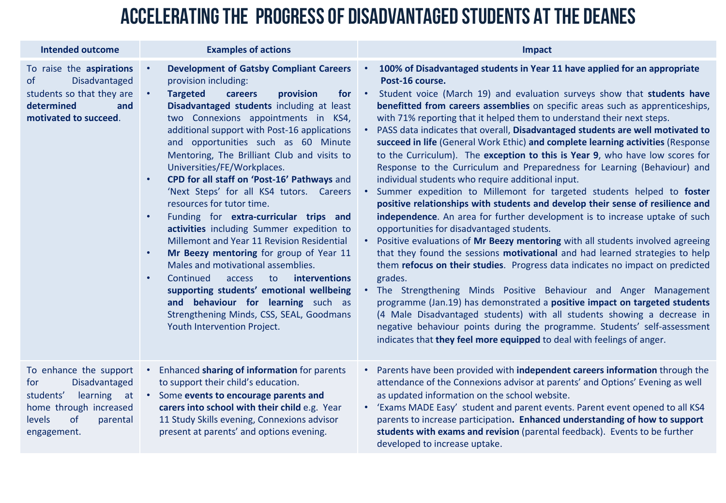### Accelerating the progress of disadvantaged students at the deanes

| <b>Intended outcome</b>                                                                                                                                | <b>Examples of actions</b>                                                                                                                                                                                                                                                                                                                                                                                                                                                                                                                                                                                                                                                                                                                                                                                                                                                                                                                                           | <b>Impact</b>                                                                                                                                                                                                                                                                                                                                                                                                                                                                                                                                                                                                                                                                                                                                                                                                                                                                                                                                                                                                                                                                                                                                                                                                                                                                                                                                                                                                                                                                                                                                                                                                                                                                                             |
|--------------------------------------------------------------------------------------------------------------------------------------------------------|----------------------------------------------------------------------------------------------------------------------------------------------------------------------------------------------------------------------------------------------------------------------------------------------------------------------------------------------------------------------------------------------------------------------------------------------------------------------------------------------------------------------------------------------------------------------------------------------------------------------------------------------------------------------------------------------------------------------------------------------------------------------------------------------------------------------------------------------------------------------------------------------------------------------------------------------------------------------|-----------------------------------------------------------------------------------------------------------------------------------------------------------------------------------------------------------------------------------------------------------------------------------------------------------------------------------------------------------------------------------------------------------------------------------------------------------------------------------------------------------------------------------------------------------------------------------------------------------------------------------------------------------------------------------------------------------------------------------------------------------------------------------------------------------------------------------------------------------------------------------------------------------------------------------------------------------------------------------------------------------------------------------------------------------------------------------------------------------------------------------------------------------------------------------------------------------------------------------------------------------------------------------------------------------------------------------------------------------------------------------------------------------------------------------------------------------------------------------------------------------------------------------------------------------------------------------------------------------------------------------------------------------------------------------------------------------|
| To raise the aspirations<br>Disadvantaged<br>of<br>students so that they are<br>determined<br>and<br>motivated to succeed.                             | <b>Development of Gatsby Compliant Careers</b><br>provision including:<br><b>Targeted</b><br>provision<br>for<br>careers<br>Disadvantaged students including at least<br>two Connexions appointments in KS4,<br>additional support with Post-16 applications<br>and opportunities such as 60 Minute<br>Mentoring, The Brilliant Club and visits to<br>Universities/FE/Workplaces.<br>CPD for all staff on 'Post-16' Pathways and<br>$\bullet$<br>'Next Steps' for all KS4 tutors. Careers<br>resources for tutor time.<br>Funding for extra-curricular trips and<br>activities including Summer expedition to<br>Millemont and Year 11 Revision Residential<br>Mr Beezy mentoring for group of Year 11<br>$\bullet$<br>Males and motivational assemblies.<br>Continued<br>interventions<br>to<br>access<br>supporting students' emotional wellbeing<br>and behaviour for learning such as<br>Strengthening Minds, CSS, SEAL, Goodmans<br>Youth Intervention Project. | 100% of Disadvantaged students in Year 11 have applied for an appropriate<br>$\bullet$<br>Post-16 course.<br>Student voice (March 19) and evaluation surveys show that students have<br>$\bullet$<br>benefitted from careers assemblies on specific areas such as apprenticeships,<br>with 71% reporting that it helped them to understand their next steps.<br>PASS data indicates that overall, Disadvantaged students are well motivated to<br>succeed in life (General Work Ethic) and complete learning activities (Response<br>to the Curriculum). The exception to this is Year 9, who have low scores for<br>Response to the Curriculum and Preparedness for Learning (Behaviour) and<br>individual students who require additional input.<br>Summer expedition to Millemont for targeted students helped to foster<br>$\bullet$<br>positive relationships with students and develop their sense of resilience and<br>independence. An area for further development is to increase uptake of such<br>opportunities for disadvantaged students.<br>Positive evaluations of Mr Beezy mentoring with all students involved agreeing<br>that they found the sessions motivational and had learned strategies to help<br>them refocus on their studies. Progress data indicates no impact on predicted<br>grades.<br>. The Strengthening Minds Positive Behaviour and Anger Management<br>programme (Jan.19) has demonstrated a positive impact on targeted students<br>(4 Male Disadvantaged students) with all students showing a decrease in<br>negative behaviour points during the programme. Students' self-assessment<br>indicates that they feel more equipped to deal with feelings of anger. |
| To enhance the support<br><b>Disadvantaged</b><br>for<br>students'<br>learning at<br>home through increased<br>of<br>levels<br>parental<br>engagement. | Enhanced sharing of information for parents<br>to support their child's education.<br>Some events to encourage parents and<br>carers into school with their child e.g. Year<br>11 Study Skills evening, Connexions advisor<br>present at parents' and options evening.                                                                                                                                                                                                                                                                                                                                                                                                                                                                                                                                                                                                                                                                                               | Parents have been provided with independent careers information through the<br>attendance of the Connexions advisor at parents' and Options' Evening as well<br>as updated information on the school website.<br>• 'Exams MADE Easy' student and parent events. Parent event opened to all KS4<br>parents to increase participation. Enhanced understanding of how to support<br>students with exams and revision (parental feedback). Events to be further<br>developed to increase uptake.                                                                                                                                                                                                                                                                                                                                                                                                                                                                                                                                                                                                                                                                                                                                                                                                                                                                                                                                                                                                                                                                                                                                                                                                              |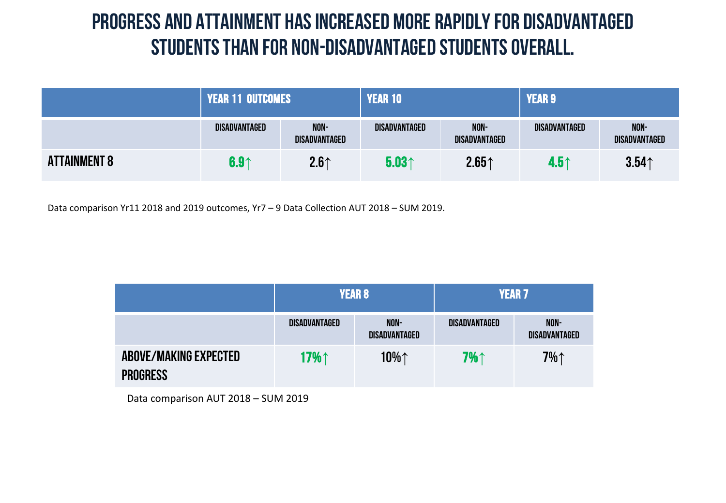### Progress and attainment has increased more rapidly for Disadvantaged students than for Non-Disadvantaged students overall.

|                     | <b>\PEAR 11 OUTCOMES</b> |                       | <b>YEAR 10</b>    |                       | <b>YEAR 9</b>    |                              |
|---------------------|--------------------------|-----------------------|-------------------|-----------------------|------------------|------------------------------|
|                     | DISADVANTAGED            | NON-<br>DISADVANTAGED | DISADVANTAGED     | NON-<br>DISADVANTAGED | DISADVANTAGED    | NON-<br><b>DISADVANTAGED</b> |
| <b>ATTAINMENT 8</b> | 6.9 <sub>1</sub>         | 2.6 <sub>1</sub>      | 5.03 <sub>0</sub> | 2.65 <sub>0</sub>     | 4.5 <sub>0</sub> | 3.54 <sub>0</sub>            |

Data comparison Yr11 2018 and 2019 outcomes, Yr7 – 9 Data Collection AUT 2018 – SUM 2019.

|                                                 | <b>YEAR 8</b> |                              | <b>YEAR 7</b> |                              |
|-------------------------------------------------|---------------|------------------------------|---------------|------------------------------|
|                                                 | DISADVANTAGED | NON-<br><b>DISADVANTAGED</b> | DISADVANTAGED | NON-<br><b>DISADVANTAGED</b> |
| <b>ABOVE/MAKING EXPECTED</b><br><b>PROGRESS</b> | 17%↑          | 10%↑                         | 7%↑           | $7\%$                        |

Data comparison AUT 2018 – SUM 2019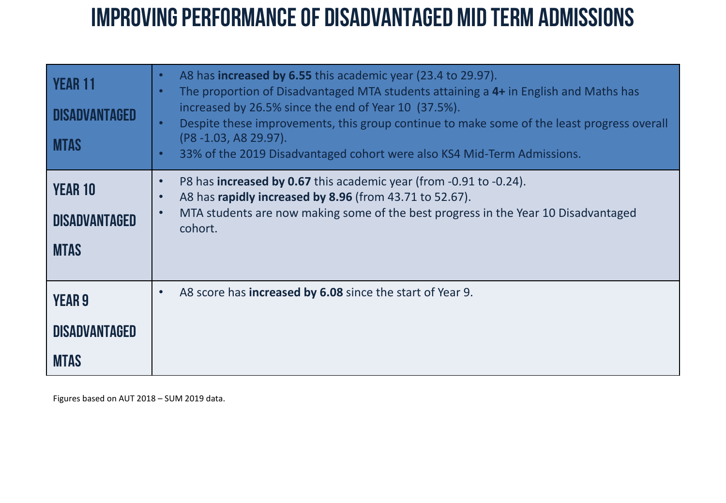## Improving performance of Disadvantaged Mid term admissions

| <b>YEAR 11</b><br><b>MTAS</b>                        | A8 has <b>increased by 6.55</b> this academic year (23.4 to 29.97).<br>$\bullet$<br>The proportion of Disadvantaged MTA students attaining a 4+ in English and Maths has<br>$\bullet$<br>increased by 26.5% since the end of Year 10 (37.5%).<br>Despite these improvements, this group continue to make some of the least progress overall<br>$\bullet$<br>(P8 -1.03, A8 29.97).<br>33% of the 2019 Disadvantaged cohort were also KS4 Mid-Term Admissions.<br>$\bullet$ |
|------------------------------------------------------|---------------------------------------------------------------------------------------------------------------------------------------------------------------------------------------------------------------------------------------------------------------------------------------------------------------------------------------------------------------------------------------------------------------------------------------------------------------------------|
| <b>YEAR 10</b><br>DISADVANTAGED<br><b>MTAS</b>       | P8 has <b>increased by 0.67</b> this academic year (from -0.91 to -0.24).<br>$\bullet$<br>A8 has rapidly increased by 8.96 (from 43.71 to 52.67).<br>$\bullet$<br>MTA students are now making some of the best progress in the Year 10 Disadvantaged<br>$\bullet$<br>cohort.                                                                                                                                                                                              |
| <b>YEAR 9</b><br><b>DISADVANTAGED</b><br><b>MTAS</b> | A8 score has <b>increased by 6.08</b> since the start of Year 9.<br>$\bullet$                                                                                                                                                                                                                                                                                                                                                                                             |

Figures based on AUT 2018 – SUM 2019 data.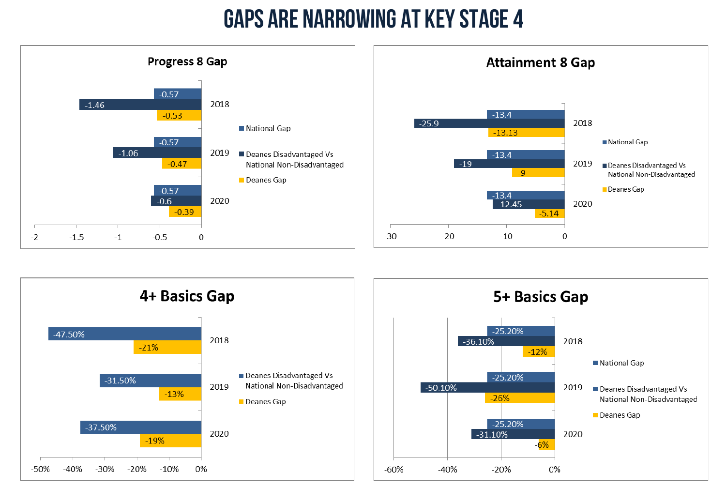# Gaps are narrowing at key stage 4







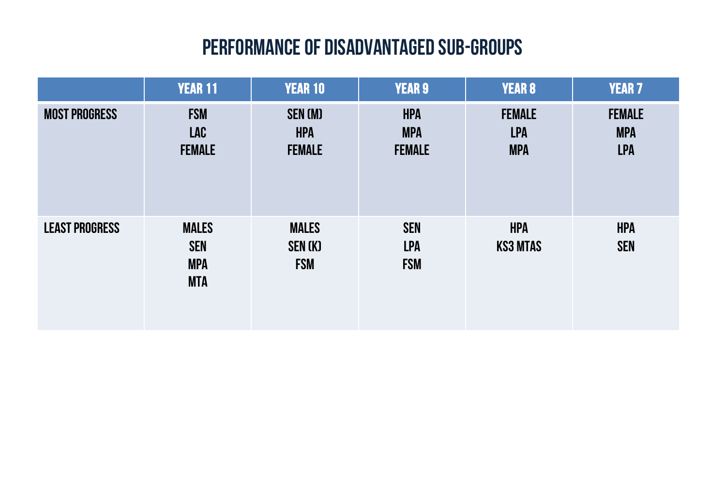### Performance of disadvantaged sub-groups

|                       | <b>YEAR 11</b>                                         | <b>YEAR 10</b>                                | <b>YEAR 9</b>                             | <b>YEAR 8</b>                             | <b>YEAR 7</b>                             |
|-----------------------|--------------------------------------------------------|-----------------------------------------------|-------------------------------------------|-------------------------------------------|-------------------------------------------|
| <b>MOST PROGRESS</b>  | <b>FSM</b><br><b>LAC</b><br><b>FEMALE</b>              | <b>SEN (M)</b><br><b>HPA</b><br><b>FEMALE</b> | <b>HPA</b><br><b>MPA</b><br><b>FEMALE</b> | <b>FEMALE</b><br><b>LPA</b><br><b>MPA</b> | <b>FEMALE</b><br><b>MPA</b><br><b>LPA</b> |
| <b>LEAST PROGRESS</b> | <b>MALES</b><br><b>SEN</b><br><b>MPA</b><br><b>MTA</b> | <b>MALES</b><br><b>SEN (K)</b><br><b>FSM</b>  | <b>SEN</b><br><b>LPA</b><br><b>FSM</b>    | <b>HPA</b><br><b>KS3 MTAS</b>             | <b>HPA</b><br><b>SEN</b>                  |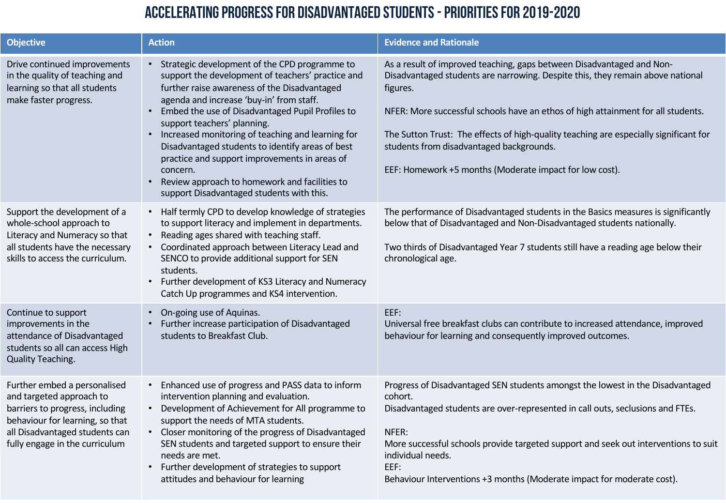#### Accelerating progress for disadvantaged students -Priorities for 2019-2020

| <b>Objective</b>                                                                                                                                                                                   | <b>Action</b>                                                                                                                                                                                                                                                                                                                                                                                                                                                                                                                                             | <b>Evidence and Rationale</b>                                                                                                                                                                                                                                                                                                                                                                                                                           |
|----------------------------------------------------------------------------------------------------------------------------------------------------------------------------------------------------|-----------------------------------------------------------------------------------------------------------------------------------------------------------------------------------------------------------------------------------------------------------------------------------------------------------------------------------------------------------------------------------------------------------------------------------------------------------------------------------------------------------------------------------------------------------|---------------------------------------------------------------------------------------------------------------------------------------------------------------------------------------------------------------------------------------------------------------------------------------------------------------------------------------------------------------------------------------------------------------------------------------------------------|
| Drive continued improvements<br>in the quality of teaching and<br>learning so that all students<br>make faster progress.                                                                           | • Strategic development of the CPD programme to<br>support the development of teachers' practice and<br>further raise awareness of the Disadvantaged<br>agenda and increase 'buy-in' from staff.<br>Embed the use of Disadvantaged Pupil Profiles to<br>support teachers' planning.<br>• Increased monitoring of teaching and learning for<br>Disadvantaged students to identify areas of best<br>practice and support improvements in areas of<br>concern.<br>Review approach to homework and facilities to<br>support Disadvantaged students with this. | As a result of improved teaching, gaps between Disadvantaged and Non-<br>Disadvantaged students are narrowing. Despite this, they remain above national<br>figures.<br>NFER: More successful schools have an ethos of high attainment for all students.<br>The Sutton Trust: The effects of high-quality teaching are especially significant for<br>students from disadvantaged backgrounds.<br>EEF: Homework +5 months (Moderate impact for low cost). |
| Support the development of a<br>whole-school approach to<br>Literacy and Numeracy so that<br>all students have the necessary<br>skills to access the curriculum.                                   | • Half termly CPD to develop knowledge of strategies<br>to support literacy and implement in departments.<br>• Reading ages shared with teaching staff.<br>• Coordinated approach between Literacy Lead and<br>SENCO to provide additional support for SEN<br>students.<br>Further development of KS3 Literacy and Numeracy<br>$\bullet$<br>Catch Up programmes and KS4 intervention.                                                                                                                                                                     | The performance of Disadvantaged students in the Basics measures is significantly<br>below that of Disadvantaged and Non-Disadvantaged students nationally.<br>Two thirds of Disadvantaged Year 7 students still have a reading age below their<br>chronological age.                                                                                                                                                                                   |
| Continue to support<br>improvements in the<br>attendance of Disadvantaged<br>students so all can access High<br><b>Quality Teaching.</b>                                                           | On-going use of Aquinas.<br>$\bullet$<br>Further increase participation of Disadvantaged<br>students to Breakfast Club.                                                                                                                                                                                                                                                                                                                                                                                                                                   | EEF:<br>Universal free breakfast clubs can contribute to increased attendance, improved<br>behaviour for learning and consequently improved outcomes.                                                                                                                                                                                                                                                                                                   |
| Further embed a personalised<br>and targeted approach to<br>barriers to progress, including<br>behaviour for learning, so that<br>all Disadvantaged students can<br>fully engage in the curriculum | Enhanced use of progress and PASS data to inform<br>$\bullet$<br>intervention planning and evaluation.<br>• Development of Achievement for All programme to<br>support the needs of MTA students.<br>• Closer monitoring of the progress of Disadvantaged<br>SEN students and targeted support to ensure their<br>needs are met.<br>Further development of strategies to support<br>attitudes and behaviour for learning                                                                                                                                  | Progress of Disadvantaged SEN students amongst the lowest in the Disadvantaged<br>cohort.<br>Disadvantaged students are over-represented in call outs, seclusions and FTEs.<br>NFER:<br>More successful schools provide targeted support and seek out interventions to suit<br>individual needs.<br>EEF:<br>Behaviour Interventions +3 months (Moderate impact for moderate cost).                                                                      |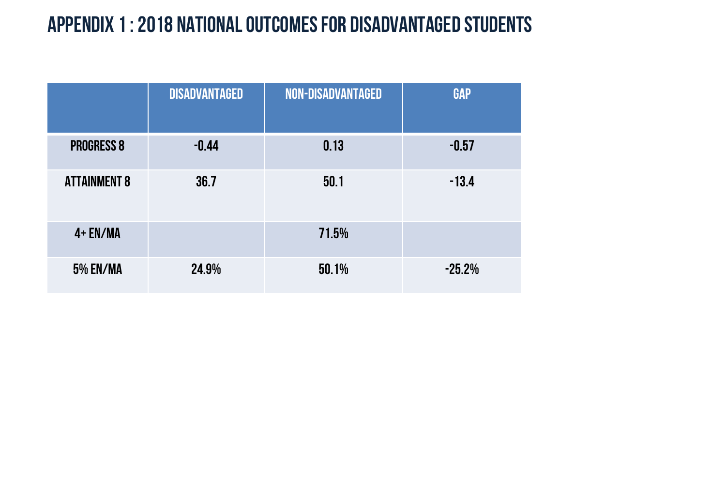### Appendix 1 : 2018 National outcomes for disadvantaged students

|                     | <b>DISADVANTAGED</b> | <b>NON-DISADVANTAGED</b> | <b>GAP</b> |
|---------------------|----------------------|--------------------------|------------|
| <b>PROGRESS 8</b>   | $-0.44$              | 0.13                     | $-0.57$    |
| <b>ATTAINMENT 8</b> | 36.7                 | 50.1                     | $-13.4$    |
| $4 + EN/MA$         |                      | 71.5%                    |            |
| <b>5% EN/MA</b>     | 24.9%                | 50.1%                    | $-25.2%$   |